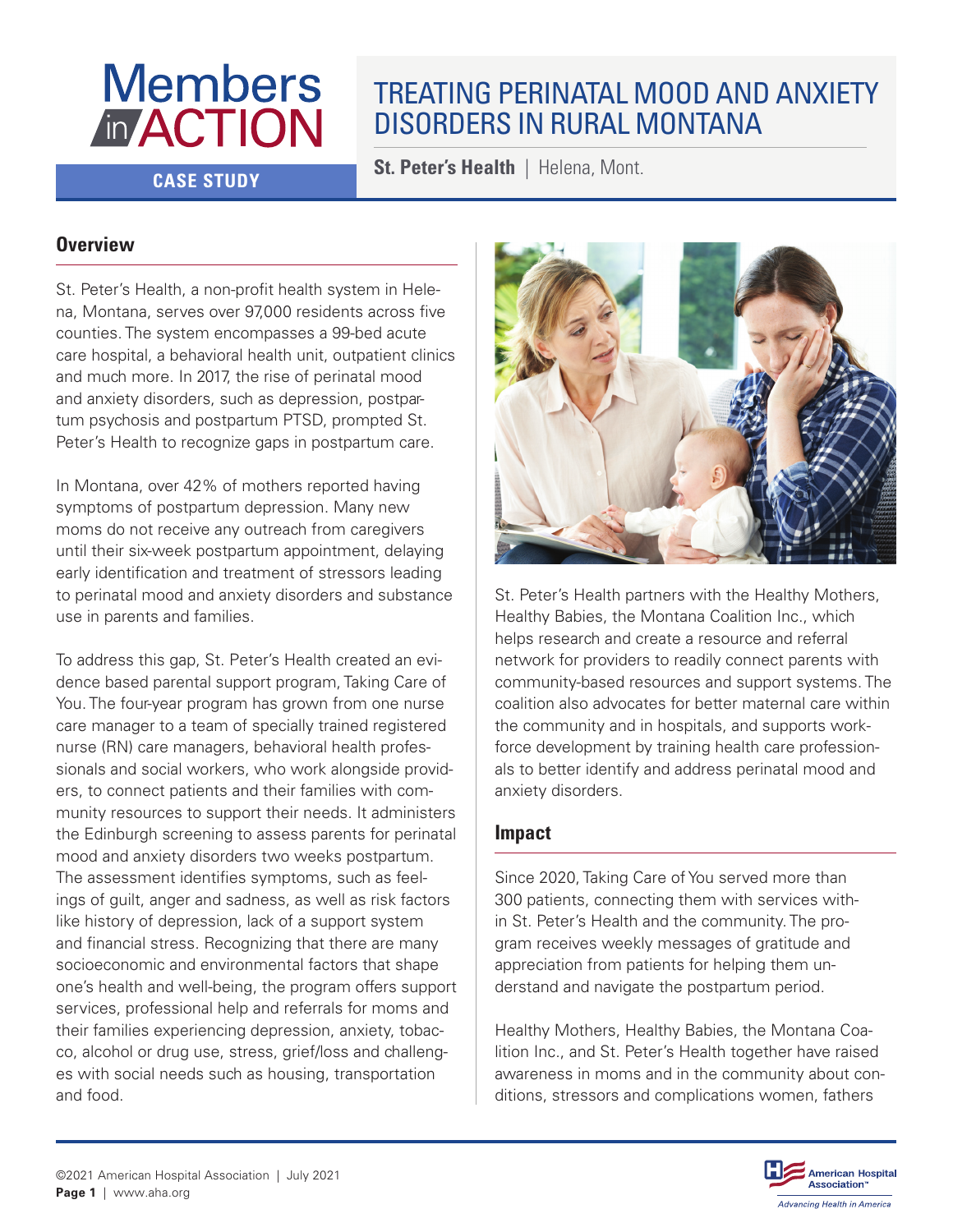# **Members** *In ACTION*

# TREATING PERINATAL MOOD AND ANXIETY DISORDERS IN RURAL MONTANA

**CASE STUDY St. Peter's Health | Helena, Mont.** 

# **Overview**

St. Peter's Health, a non-profit health system in Helena, Montana, serves over 97,000 residents across five counties. The system encompasses a 99-bed acute care hospital, a behavioral health unit, outpatient clinics and much more. In 2017, the rise of perinatal mood and anxiety disorders, such as depression, postpartum psychosis and postpartum PTSD, prompted St. Peter's Health to recognize gaps in postpartum care.

In Montana, over 42% of mothers reported having symptoms of postpartum depression. Many new moms do not receive any outreach from caregivers until their six-week postpartum appointment, delaying early identification and treatment of stressors leading to perinatal mood and anxiety disorders and substance use in parents and families.

To address this gap, St. Peter's Health created an evidence based parental support program, Taking Care of You. The four-year program has grown from one nurse care manager to a team of specially trained registered nurse (RN) care managers, behavioral health professionals and social workers, who work alongside providers, to connect patients and their families with community resources to support their needs. It administers the Edinburgh screening to assess parents for perinatal mood and anxiety disorders two weeks postpartum. The assessment identifies symptoms, such as feelings of guilt, anger and sadness, as well as risk factors like history of depression, lack of a support system and financial stress. Recognizing that there are many socioeconomic and environmental factors that shape one's health and well-being, the program offers support services, professional help and referrals for moms and their families experiencing depression, anxiety, tobacco, alcohol or drug use, stress, grief/loss and challenges with social needs such as housing, transportation and food.



St. Peter's Health partners with the Healthy Mothers, Healthy Babies, the Montana Coalition Inc., which helps research and create a resource and referral network for providers to readily connect parents with community-based resources and support systems. The coalition also advocates for better maternal care within the community and in hospitals, and supports workforce development by training health care professionals to better identify and address perinatal mood and anxiety disorders.

# **Impact**

Since 2020, Taking Care of You served more than 300 patients, connecting them with services within St. Peter's Health and the community. The program receives weekly messages of gratitude and appreciation from patients for helping them understand and navigate the postpartum period.

Healthy Mothers, Healthy Babies, the Montana Coalition Inc., and St. Peter's Health together have raised awareness in moms and in the community about conditions, stressors and complications women, fathers